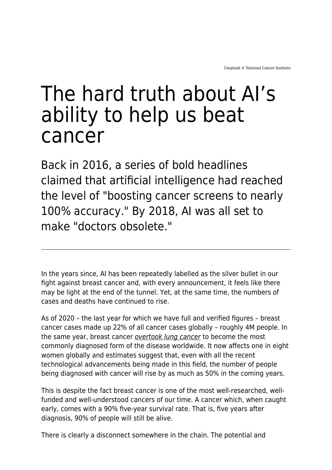# The hard truth about AI's ability to help us beat cancer

Back in 2016, a series of bold headlines claimed that artificial intelligence had reached the level of "boosting cancer screens to nearly 100% accuracy." By 2018, AI was all set to make "doctors obsolete."

In the years since, AI has been repeatedly labelled as the silver bullet in our fight against breast cancer and, with every announcement, it feels like there may be light at the end of the tunnel. Yet, at the same time, the numbers of cases and deaths have continued to rise.

As of 2020 – the last year for which we have full and verified figures – breast cancer cases made up 22% of all cancer cases globally – roughly 4M people. In the same year, breast cancer [overtook lung cancer](https://www.who.int/news/item/03-02-2021-breast-cancer-now-most-common-form-of-cancer-who-taking-action) to become the most commonly diagnosed form of the disease worldwide. It now affects one in eight women globally and estimates suggest that, even with all the recent technological advancements being made in this field, the number of people being diagnosed with cancer will rise by as much as 50% in the coming years.

This is despite the fact breast cancer is one of the most well-researched, wellfunded and well-understood cancers of our time. A cancer which, when caught early, comes with a 90% five-year survival rate. That is, five years after diagnosis, 90% of people will still be alive.

There is clearly a disconnect somewhere in the chain. The potential and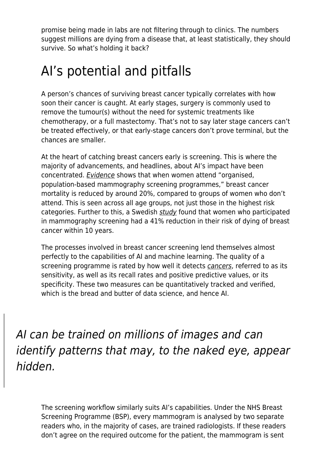promise being made in labs are not filtering through to clinics. The numbers suggest millions are dying from a disease that, at least statistically, they should survive. So what's holding it back?

## AI's potential and pitfalls

A person's chances of surviving breast cancer typically correlates with how soon their cancer is caught. At early stages, surgery is commonly used to remove the tumour(s) without the need for systemic treatments like chemotherapy, or a full mastectomy. That's not to say later stage cancers can't be treated effectively, or that early-stage cancers don't prove terminal, but the chances are smaller.

At the heart of catching breast cancers early is screening. This is where the majority of advancements, and headlines, about AI's impact have been concentrated. [Evidence](https://apps.who.int/iris/bitstream/handle/10665/137339/9789241507936_eng.pdf) shows that when women attend "organised, population-based mammography screening programmes," breast cancer mortality is reduced by around 20%, compared to groups of women who don't attend. This is seen across all age groups, not just those in the highest risk categories. Further to this, a Swedish [study](https://acsjournals.onlinelibrary.wiley.com/doi/full/10.1002/cncr.32859) found that women who participated in mammography screening had a 41% reduction in their risk of dying of breast cancer within 10 years.

The processes involved in breast cancer screening lend themselves almost perfectly to the capabilities of AI and machine learning. The quality of a screening programme is rated by how well it detects [cancers](https://www.maddyness.com/uk/2021/01/20/skincare-against-skin-cancer-interview-with-billy-boulos-lifejacket/), referred to as its sensitivity, as well as its recall rates and positive predictive values, or its specificity. These two measures can be quantitatively tracked and verified, which is the bread and butter of data science, and hence AI.

AI can be trained on millions of images and can identify patterns that may, to the naked eye, appear hidden.

The screening workflow similarly suits AI's capabilities. Under the NHS Breast Screening Programme (BSP), every mammogram is analysed by two separate readers who, in the majority of cases, are trained radiologists. If these readers don't agree on the required outcome for the patient, the mammogram is sent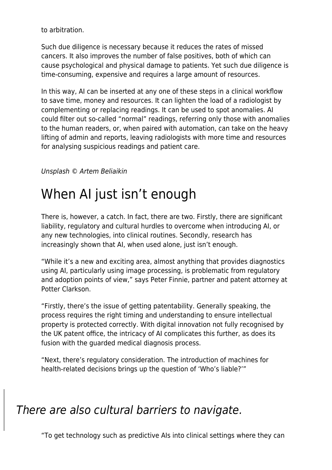to arbitration.

Such due diligence is necessary because it reduces the rates of missed cancers. It also improves the number of false positives, both of which can cause psychological and physical damage to patients. Yet such due diligence is time-consuming, expensive and requires a large amount of resources.

In this way, AI can be inserted at any one of these steps in a clinical workflow to save time, money and resources. It can lighten the load of a radiologist by complementing or replacing readings. It can be used to spot anomalies. AI could filter out so-called "normal" readings, referring only those with anomalies to the human readers, or, when paired with automation, can take on the heavy lifting of admin and reports, leaving radiologists with more time and resources for analysing suspicious readings and patient care.

#### Unsplash © Artem Beliaikin

#### When AI just isn't enough

There is, however, a catch. In fact, there are two. Firstly, there are significant liability, regulatory and cultural hurdles to overcome when introducing AI, or any new technologies, into clinical routines. Secondly, research has increasingly shown that AI, when used alone, just isn't enough.

"While it's a new and exciting area, almost anything that provides diagnostics using AI, particularly using image processing, is problematic from regulatory and adoption points of view," says Peter Finnie, partner and patent attorney at Potter Clarkson.

"Firstly, there's the issue of getting patentability. Generally speaking, the process requires the right timing and understanding to ensure intellectual property is protected correctly. With digital innovation not fully recognised by the UK patent office, the intricacy of AI complicates this further, as does its fusion with the guarded medical diagnosis process.

"Next, there's regulatory consideration. The introduction of machines for health-related decisions brings up the question of 'Who's liable?'"

#### There are also cultural barriers to navigate.

"To get technology such as predictive AIs into clinical settings where they can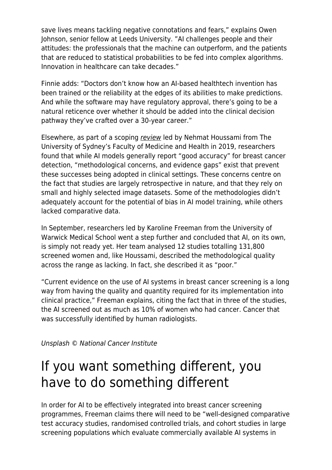save lives means tackling negative connotations and fears," explains Owen Johnson, senior fellow at Leeds University. "AI challenges people and their attitudes: the professionals that the machine can outperform, and the patients that are reduced to statistical probabilities to be fed into complex algorithms. Innovation in healthcare can take decades."

Finnie adds: "Doctors don't know how an AI-based healthtech invention has been trained or the reliability at the edges of its abilities to make predictions. And while the software may have regulatory approval, there's going to be a natural reticence over whether it should be added into the clinical decision pathway they've crafted over a 30-year career."

Elsewhere, as part of a scoping [review](https://www.tandfonline.com/doi/full/10.1080/17434440.2019.1610387) led by Nehmat Houssami from The University of Sydney's Faculty of Medicine and Health in 2019, researchers found that while AI models generally report "good accuracy" for breast cancer detection, "methodological concerns, and evidence gaps" exist that prevent these successes being adopted in clinical settings. These concerns centre on the fact that studies are largely retrospective in nature, and that they rely on small and highly selected image datasets. Some of the methodologies didn't adequately account for the potential of bias in AI model training, while others lacked comparative data.

In September, researchers led by Karoline Freeman from the University of Warwick Medical School went a step further and concluded that AI, on its own, is simply not ready yet. Her team analysed 12 studies totalling 131,800 screened women and, like Houssami, described the methodological quality across the range as lacking. In fact, she described it as "poor."

"Current evidence on the use of AI systems in breast cancer screening is a long way from having the quality and quantity required for its implementation into clinical practice," Freeman explains, citing the fact that in three of the studies, the AI screened out as much as 10% of women who had cancer. Cancer that was successfully identified by human radiologists.

Unsplash © National Cancer Institute

#### If you want something different, you have to do something different

In order for AI to be effectively integrated into breast cancer screening programmes, Freeman claims there will need to be "well-designed comparative test accuracy studies, randomised controlled trials, and cohort studies in large screening populations which evaluate commercially available AI systems in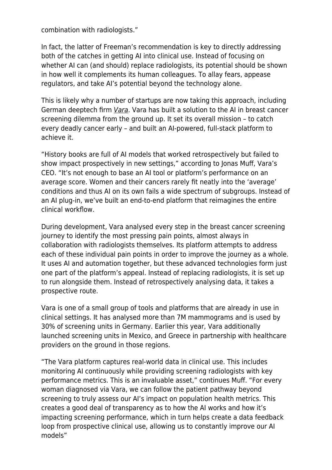combination with radiologists."

In fact, the latter of Freeman's recommendation is key to directly addressing both of the catches in getting AI into clinical use. Instead of focusing on whether AI can (and should) replace radiologists, its potential should be shown in how well it complements its human colleagues. To allay fears, appease regulators, and take AI's potential beyond the technology alone.

This is likely why a number of startups are now taking this approach, including German deeptech firm [Vara](https://www.vara.ai/). Vara has built a solution to the AI in breast cancer screening dilemma from the ground up. It set its overall mission – to catch every deadly cancer early – and built an AI-powered, full-stack platform to achieve it.

"History books are full of AI models that worked retrospectively but failed to show impact prospectively in new settings," according to Jonas Muff, Vara's CEO. "It's not enough to base an AI tool or platform's performance on an average score. Women and their cancers rarely fit neatly into the 'average' conditions and thus AI on its own fails a wide spectrum of subgroups. Instead of an AI plug-in, we've built an end-to-end platform that reimagines the entire clinical workflow.

During development, Vara analysed every step in the breast cancer screening journey to identify the most pressing pain points, almost always in collaboration with radiologists themselves. Its platform attempts to address each of these individual pain points in order to improve the journey as a whole. It uses AI and automation together, but these advanced technologies form just one part of the platform's appeal. Instead of replacing radiologists, it is set up to run alongside them. Instead of retrospectively analysing data, it takes a prospective route.

Vara is one of a small group of tools and platforms that are already in use in clinical settings. It has analysed more than 7M mammograms and is used by 30% of screening units in Germany. Earlier this year, Vara additionally launched screening units in Mexico, and Greece in partnership with healthcare providers on the ground in those regions.

"The Vara platform captures real-world data in clinical use. This includes monitoring AI continuously while providing screening radiologists with key performance metrics. This is an invaluable asset," continues Muff. "For every woman diagnosed via Vara, we can follow the patient pathway beyond screening to truly assess our AI's impact on population health metrics. This creates a good deal of transparency as to how the AI works and how it's impacting screening performance, which in turn helps create a data feedback loop from prospective clinical use, allowing us to constantly improve our AI models"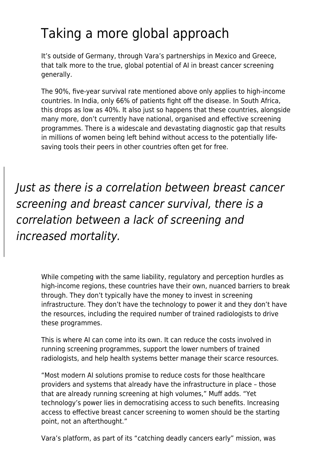### Taking a more global approach

It's outside of Germany, through Vara's partnerships in Mexico and Greece, that talk more to the true, global potential of AI in breast cancer screening generally.

The 90%, five-year survival rate mentioned above only applies to high-income countries. In India, only 66% of patients fight off the disease. In South Africa, this drops as low as 40%. It also just so happens that these countries, alongside many more, don't currently have national, organised and effective screening programmes. There is a widescale and devastating diagnostic gap that results in millions of women being left behind without access to the potentially lifesaving tools their peers in other countries often get for free.

Just as there is a correlation between breast cancer screening and breast cancer survival, there is a correlation between a lack of screening and increased mortality.

While competing with the same liability, regulatory and perception hurdles as high-income regions, these countries have their own, nuanced barriers to break through. They don't typically have the money to invest in screening infrastructure. They don't have the technology to power it and they don't have the resources, including the required number of trained radiologists to drive these programmes.

This is where AI can come into its own. It can reduce the costs involved in running screening programmes, support the lower numbers of trained radiologists, and help health systems better manage their scarce resources.

"Most modern AI solutions promise to reduce costs for those healthcare providers and systems that already have the infrastructure in place – those that are already running screening at high volumes," Muff adds. "Yet technology's power lies in democratising access to such benefits. Increasing access to effective breast cancer screening to women should be the starting point, not an afterthought."

Vara's platform, as part of its "catching deadly cancers early" mission, was